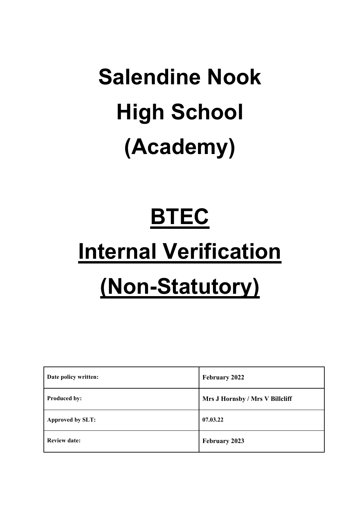# **Salendine Nook High School (Academy)**

# **BTEC**

# **Internal Verification (Non-Statutory)**

| Date policy written: | <b>February 2022</b>            |
|----------------------|---------------------------------|
| <b>Produced by:</b>  | Mrs J Hornsby / Mrs V Billcliff |
| Approved by SLT:     | 07.03.22                        |
| <b>Review date:</b>  | February 2023                   |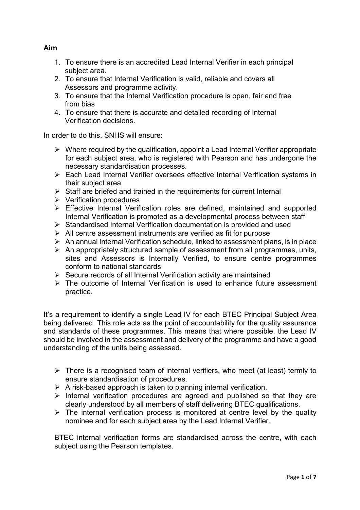# **Aim**

- 1. To ensure there is an accredited Lead Internal Verifier in each principal subject area.
- 2. To ensure that Internal Verification is valid, reliable and covers all Assessors and programme activity.
- 3. To ensure that the Internal Verification procedure is open, fair and free from bias
- 4. To ensure that there is accurate and detailed recording of Internal Verification decisions.

In order to do this, SNHS will ensure:

- $\triangleright$  Where required by the qualification, appoint a Lead Internal Verifier appropriate for each subject area, who is registered with Pearson and has undergone the necessary standardisation processes.
- Each Lead Internal Verifier oversees effective Internal Verification systems in their subject area
- $\triangleright$  Staff are briefed and trained in the requirements for current Internal
- $\triangleright$  Verification procedures
- Effective Internal Verification roles are defined, maintained and supported Internal Verification is promoted as a developmental process between staff
- $\triangleright$  Standardised Internal Verification documentation is provided and used
- $\triangleright$  All centre assessment instruments are verified as fit for purpose
- $\triangleright$  An annual Internal Verification schedule, linked to assessment plans, is in place
- $\triangleright$  An appropriately structured sample of assessment from all programmes, units, sites and Assessors is Internally Verified, to ensure centre programmes conform to national standards
- $\triangleright$  Secure records of all Internal Verification activity are maintained
- $\triangleright$  The outcome of Internal Verification is used to enhance future assessment practice.

It's a requirement to identify a single Lead IV for each BTEC Principal Subject Area being delivered. This role acts as the point of accountability for the quality assurance and standards of these programmes. This means that where possible, the Lead IV should be involved in the assessment and delivery of the programme and have a good understanding of the units being assessed.

- There is a recognised team of internal verifiers, who meet (at least) termly to ensure standardisation of procedures.
- $\triangleright$  A risk-based approach is taken to planning internal verification.
- $\triangleright$  Internal verification procedures are agreed and published so that they are clearly understood by all members of staff delivering BTEC qualifications.
- $\triangleright$  The internal verification process is monitored at centre level by the quality nominee and for each subject area by the Lead Internal Verifier.

BTEC internal verification forms are standardised across the centre, with each subject using the Pearson templates.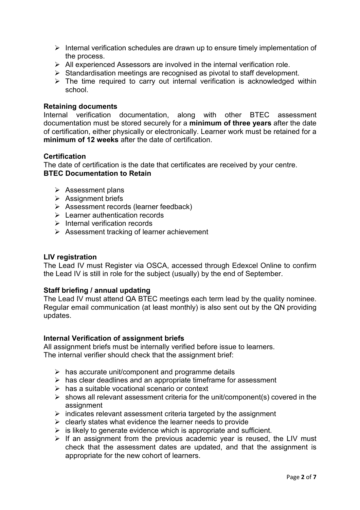- $\triangleright$  Internal verification schedules are drawn up to ensure timely implementation of the process.
- $\triangleright$  All experienced Assessors are involved in the internal verification role.
- $\triangleright$  Standardisation meetings are recognised as pivotal to staff development.
- $\triangleright$  The time required to carry out internal verification is acknowledged within school.

#### **Retaining documents**

Internal verification documentation, along with other BTEC assessment documentation must be stored securely for a **minimum of three years** after the date of certification, either physically or electronically. Learner work must be retained for a **minimum of 12 weeks** after the date of certification.

#### **Certification**

The date of certification is the date that certificates are received by your centre. **BTEC Documentation to Retain** 

- $\triangleright$  Assessment plans
- $\triangleright$  Assignment briefs
- $\triangleright$  Assessment records (learner feedback)
- **Exemple 2** Learner authentication records
- $\triangleright$  Internal verification records
- $\triangleright$  Assessment tracking of learner achievement

#### **LIV registration**

The Lead IV must Register via OSCA, accessed through Edexcel Online to confirm the Lead IV is still in role for the subject (usually) by the end of September.

#### **Staff briefing / annual updating**

The Lead IV must attend QA BTEC meetings each term lead by the quality nominee. Regular email communication (at least monthly) is also sent out by the QN providing updates.

#### **Internal Verification of assignment briefs**

All assignment briefs must be internally verified before issue to learners. The internal verifier should check that the assignment brief:

- $\triangleright$  has accurate unit/component and programme details
- $\triangleright$  has clear deadlines and an appropriate timeframe for assessment
- $\triangleright$  has a suitable vocational scenario or context
- $\triangleright$  shows all relevant assessment criteria for the unit/component(s) covered in the assignment
- $\triangleright$  indicates relevant assessment criteria targeted by the assignment
- $\triangleright$  clearly states what evidence the learner needs to provide
- $\triangleright$  is likely to generate evidence which is appropriate and sufficient.
- $\triangleright$  If an assignment from the previous academic year is reused, the LIV must check that the assessment dates are updated, and that the assignment is appropriate for the new cohort of learners.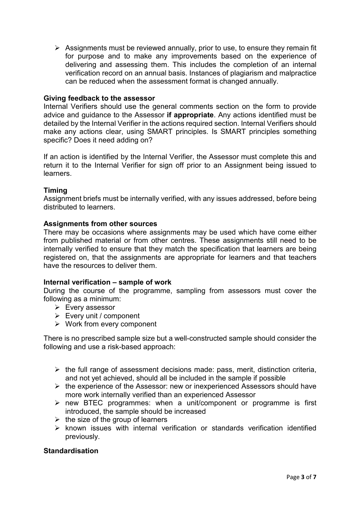$\triangleright$  Assignments must be reviewed annually, prior to use, to ensure they remain fit for purpose and to make any improvements based on the experience of delivering and assessing them. This includes the completion of an internal verification record on an annual basis. Instances of plagiarism and malpractice can be reduced when the assessment format is changed annually.

### **Giving feedback to the assessor**

Internal Verifiers should use the general comments section on the form to provide advice and guidance to the Assessor **if appropriate**. Any actions identified must be detailed by the Internal Verifier in the actions required section. Internal Verifiers should make any actions clear, using SMART principles. Is SMART principles something specific? Does it need adding on?

If an action is identified by the Internal Verifier, the Assessor must complete this and return it to the Internal Verifier for sign off prior to an Assignment being issued to learners.

# **Timing**

Assignment briefs must be internally verified, with any issues addressed, before being distributed to learners.

#### **Assignments from other sources**

There may be occasions where assignments may be used which have come either from published material or from other centres. These assignments still need to be internally verified to ensure that they match the specification that learners are being registered on, that the assignments are appropriate for learners and that teachers have the resources to deliver them.

#### **Internal verification – sample of work**

During the course of the programme, sampling from assessors must cover the following as a minimum:

- $\triangleright$  Every assessor
- $\triangleright$  Every unit / component
- $\triangleright$  Work from every component

There is no prescribed sample size but a well-constructed sample should consider the following and use a risk-based approach:

- $\triangleright$  the full range of assessment decisions made: pass, merit, distinction criteria, and not yet achieved, should all be included in the sample if possible
- $\triangleright$  the experience of the Assessor: new or inexperienced Assessors should have more work internally verified than an experienced Assessor
- $\triangleright$  new BTEC programmes: when a unit/component or programme is first introduced, the sample should be increased
- $\triangleright$  the size of the group of learners
- $\triangleright$  known issues with internal verification or standards verification identified previously.

# **Standardisation**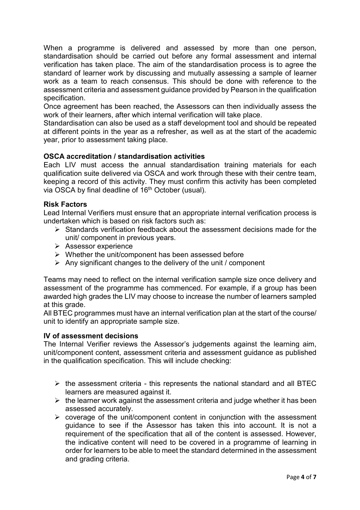When a programme is delivered and assessed by more than one person, standardisation should be carried out before any formal assessment and internal verification has taken place. The aim of the standardisation process is to agree the standard of learner work by discussing and mutually assessing a sample of learner work as a team to reach consensus. This should be done with reference to the assessment criteria and assessment guidance provided by Pearson in the qualification specification.

Once agreement has been reached, the Assessors can then individually assess the work of their learners, after which internal verification will take place.

Standardisation can also be used as a staff development tool and should be repeated at different points in the year as a refresher, as well as at the start of the academic year, prior to assessment taking place.

# **OSCA accreditation / standardisation activities**

Each LIV must access the annual standardisation training materials for each qualification suite delivered via OSCA and work through these with their centre team, keeping a record of this activity. They must confirm this activity has been completed via OSCA by final deadline of 16<sup>th</sup> October (usual).

# **Risk Factors**

Lead Internal Verifiers must ensure that an appropriate internal verification process is undertaken which is based on risk factors such as:

- $\triangleright$  Standards verification feedback about the assessment decisions made for the unit/ component in previous years.
- $\triangleright$  Assessor experience
- $\triangleright$  Whether the unit/component has been assessed before
- $\triangleright$  Any significant changes to the delivery of the unit / component

Teams may need to reflect on the internal verification sample size once delivery and assessment of the programme has commenced. For example, if a group has been awarded high grades the LIV may choose to increase the number of learners sampled at this grade.

All BTEC programmes must have an internal verification plan at the start of the course/ unit to identify an appropriate sample size.

#### **IV of assessment decisions**

The Internal Verifier reviews the Assessor's judgements against the learning aim, unit/component content, assessment criteria and assessment guidance as published in the qualification specification. This will include checking:

- $\triangleright$  the assessment criteria this represents the national standard and all BTEC learners are measured against it.
- $\triangleright$  the learner work against the assessment criteria and judge whether it has been assessed accurately.
- $\triangleright$  coverage of the unit/component content in conjunction with the assessment guidance to see if the Assessor has taken this into account. It is not a requirement of the specification that all of the content is assessed. However, the indicative content will need to be covered in a programme of learning in order for learners to be able to meet the standard determined in the assessment and grading criteria.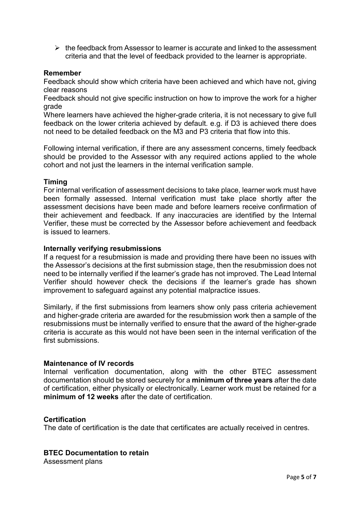$\triangleright$  the feedback from Assessor to learner is accurate and linked to the assessment criteria and that the level of feedback provided to the learner is appropriate.

### **Remember**

Feedback should show which criteria have been achieved and which have not, giving clear reasons

Feedback should not give specific instruction on how to improve the work for a higher grade

Where learners have achieved the higher-grade criteria, it is not necessary to give full feedback on the lower criteria achieved by default. e.g. if D3 is achieved there does not need to be detailed feedback on the M3 and P3 criteria that flow into this.

Following internal verification, if there are any assessment concerns, timely feedback should be provided to the Assessor with any required actions applied to the whole cohort and not just the learners in the internal verification sample.

#### **Timing**

For internal verification of assessment decisions to take place, learner work must have been formally assessed. Internal verification must take place shortly after the assessment decisions have been made and before learners receive confirmation of their achievement and feedback. If any inaccuracies are identified by the Internal Verifier, these must be corrected by the Assessor before achievement and feedback is issued to learners.

#### **Internally verifying resubmissions**

If a request for a resubmission is made and providing there have been no issues with the Assessor's decisions at the first submission stage, then the resubmission does not need to be internally verified if the learner's grade has not improved. The Lead Internal Verifier should however check the decisions if the learner's grade has shown improvement to safeguard against any potential malpractice issues.

Similarly, if the first submissions from learners show only pass criteria achievement and higher-grade criteria are awarded for the resubmission work then a sample of the resubmissions must be internally verified to ensure that the award of the higher-grade criteria is accurate as this would not have been seen in the internal verification of the first submissions.

#### **Maintenance of IV records**

Internal verification documentation, along with the other BTEC assessment documentation should be stored securely for a **minimum of three years** after the date of certification, either physically or electronically. Learner work must be retained for a **minimum of 12 weeks** after the date of certification.

#### **Certification**

The date of certification is the date that certificates are actually received in centres.

#### **BTEC Documentation to retain**

Assessment plans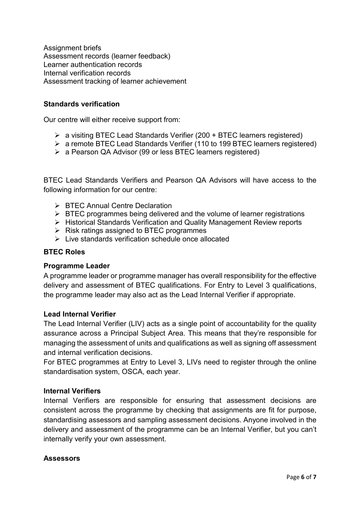Assignment briefs Assessment records (learner feedback) Learner authentication records Internal verification records Assessment tracking of learner achievement

# **Standards verification**

Our centre will either receive support from:

- a visiting BTEC Lead Standards Verifier (200 + BTEC learners registered)
- a remote BTEC Lead Standards Verifier (110 to 199 BTEC learners registered)
- a Pearson QA Advisor (99 or less BTEC learners registered)

BTEC Lead Standards Verifiers and Pearson QA Advisors will have access to the following information for our centre:

- **▶ BTEC Annual Centre Declaration**
- $\triangleright$  BTEC programmes being delivered and the volume of learner registrations
- Historical Standards Verification and Quality Management Review reports
- $\triangleright$  Risk ratings assigned to BTEC programmes
- $\triangleright$  Live standards verification schedule once allocated

# **BTEC Roles**

# **Programme Leader**

A programme leader or programme manager has overall responsibility for the effective delivery and assessment of BTEC qualifications. For Entry to Level 3 qualifications, the programme leader may also act as the Lead Internal Verifier if appropriate.

# **Lead Internal Verifier**

The Lead Internal Verifier (LIV) acts as a single point of accountability for the quality assurance across a Principal Subject Area. This means that they're responsible for managing the assessment of units and qualifications as well as signing off assessment and internal verification decisions.

For BTEC programmes at Entry to Level 3, LIVs need to register through the online standardisation system, OSCA, each year.

# **Internal Verifiers**

Internal Verifiers are responsible for ensuring that assessment decisions are consistent across the programme by checking that assignments are fit for purpose, standardising assessors and sampling assessment decisions. Anyone involved in the delivery and assessment of the programme can be an Internal Verifier, but you can't internally verify your own assessment.

# **Assessors**